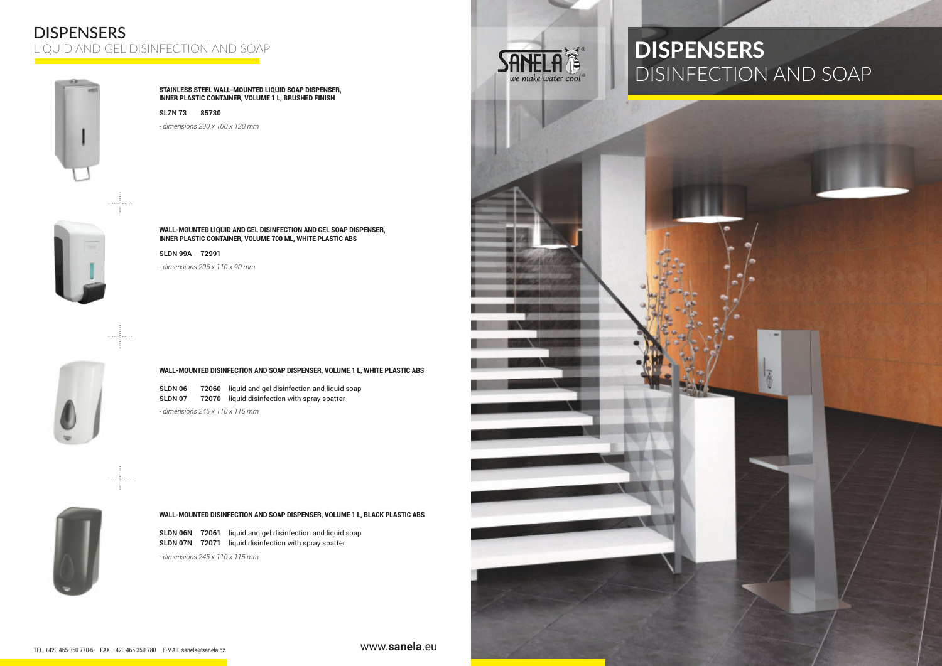## DISPENSERS LIQUID AND GEL DISINFECTION AND SOAP





*- dimensions 290 x 100 x 120 mm*



### **WALL-MOUNTED DISINFECTION AND SOAP DISPENSER, VOLUME 1 L, WHITE PLASTIC ABS**

**SLDN 06 72060** liquid and gel disinfection and liquid soap **SLDN 07 72070** liquid disinfection with spray spatter *- dimensions 245 x 110 x 115 mm*



## **WALL-MOUNTED DISINFECTION AND SOAP DISPENSER, VOLUME 1 L, BLACK PLASTIC ABS**

**SLDN 06N 72061** liquid and gel disinfection and liquid soap **SLDN 07N 72071** liquid disinfection with spray spatter

*- dimensions 245 x 110 x 115 mm*



# **DISPENSERS** DISINFECTION AND SOAP



**WALL-MOUNTED LIQUID AND GEL DISINFECTION AND GEL SOAP DISPENSER, INNER PLASTIC CONTAINER, VOLUME 700 ML, WHITE PLASTIC ABS**

**SLDN 99A 72991** *- dimensions 206 x 110 x 90 mm*